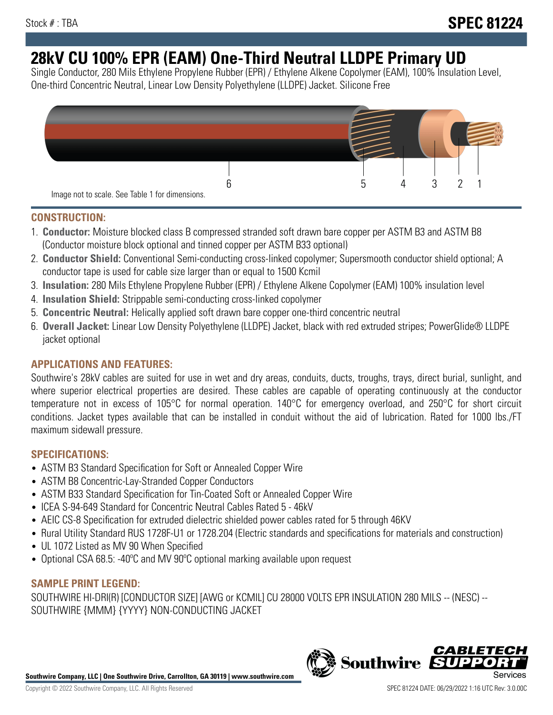# **28kV CU 100% EPR (EAM) One-Third Neutral LLDPE Primary UD**

Single Conductor, 280 Mils Ethylene Propylene Rubber (EPR) / Ethylene Alkene Copolymer (EAM), 100% Insulation Level, One-third Concentric Neutral, Linear Low Density Polyethylene (LLDPE) Jacket. Silicone Free



# **CONSTRUCTION:**

- 1. **Conductor:** Moisture blocked class B compressed stranded soft drawn bare copper per ASTM B3 and ASTM B8 (Conductor moisture block optional and tinned copper per ASTM B33 optional)
- 2. **Conductor Shield:** Conventional Semi-conducting cross-linked copolymer; Supersmooth conductor shield optional; A conductor tape is used for cable size larger than or equal to 1500 Kcmil
- 3. **Insulation:** 280 Mils Ethylene Propylene Rubber (EPR) / Ethylene Alkene Copolymer (EAM) 100% insulation level
- 4. **Insulation Shield:** Strippable semi-conducting cross-linked copolymer
- 5. **Concentric Neutral:** Helically applied soft drawn bare copper one-third concentric neutral
- 6. **Overall Jacket:** Linear Low Density Polyethylene (LLDPE) Jacket, black with red extruded stripes; PowerGlide® LLDPE jacket optional

# **APPLICATIONS AND FEATURES:**

Southwire's 28kV cables are suited for use in wet and dry areas, conduits, ducts, troughs, trays, direct burial, sunlight, and where superior electrical properties are desired. These cables are capable of operating continuously at the conductor temperature not in excess of 105°C for normal operation. 140°C for emergency overload, and 250°C for short circuit conditions. Jacket types available that can be installed in conduit without the aid of lubrication. Rated for 1000 lbs./FT maximum sidewall pressure.

## **SPECIFICATIONS:**

- ASTM B3 Standard Specification for Soft or Annealed Copper Wire
- ASTM B8 Concentric-Lay-Stranded Copper Conductors
- ASTM B33 Standard Specification for Tin-Coated Soft or Annealed Copper Wire
- ICEA S-94-649 Standard for Concentric Neutral Cables Rated 5 46kV
- AEIC CS-8 Specification for extruded dielectric shielded power cables rated for 5 through 46KV
- Rural Utility Standard RUS 1728F-U1 or 1728.204 (Electric standards and specifications for materials and construction)
- UL 1072 Listed as MV 90 When Specified
- Optional CSA 68.5: -40°C and MV 90°C optional marking available upon request

# **SAMPLE PRINT LEGEND:**

SOUTHWIRE HI-DRI(R) [CONDUCTOR SIZE] [AWG or KCMIL] CU 28000 VOLTS EPR INSULATION 280 MILS -- (NESC) -- SOUTHWIRE {MMM} {YYYY} NON-CONDUCTING JACKET

**Southwire Company, LLC | One Southwire Drive, Carrollton, GA 30119 | www.southwire.com**